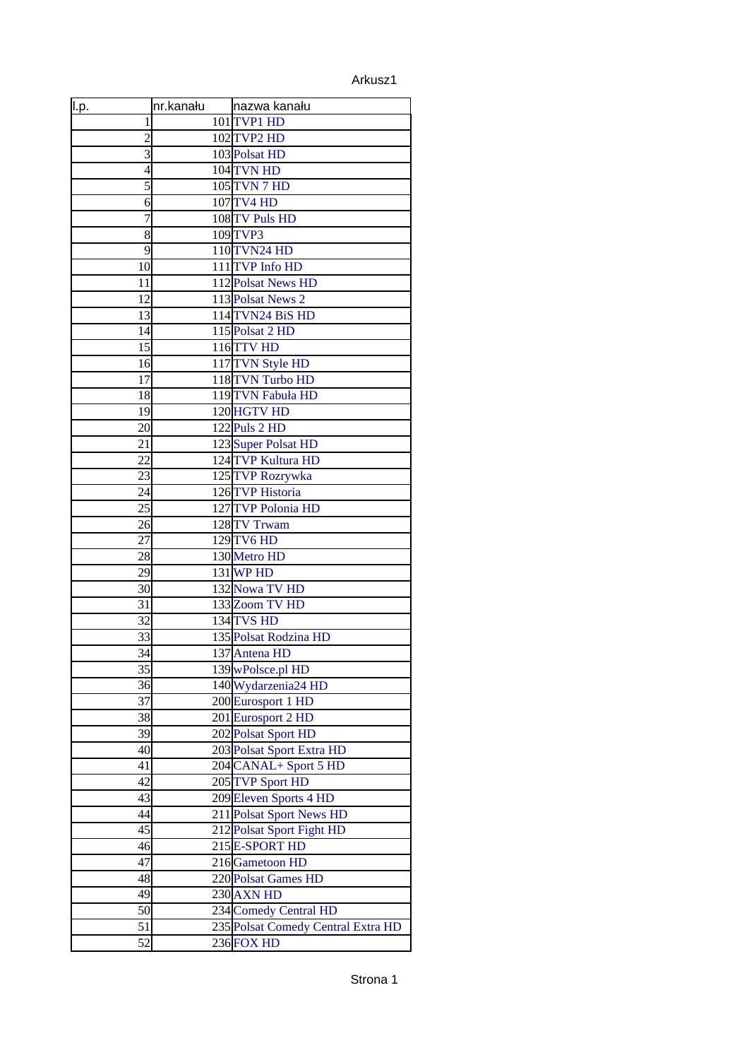| <u>ll.p.</u>   | nr.kanału | nazwa kanału                       |
|----------------|-----------|------------------------------------|
| 1              |           | 101 TVP1 HD                        |
| $\overline{2}$ |           | 102 TVP2 HD                        |
| 3              |           | 103 Polsat HD                      |
| 4              |           | 104 TVN HD                         |
| 5              |           | <b>105 TVN 7 HD</b>                |
| 6              |           | 107 TV4 HD                         |
| 7              |           | 108 TV Puls HD                     |
| 8              |           | 109 TVP3                           |
| 9              |           | <b>110 TVN24 HD</b>                |
| 10             |           | 111 TVP Info HD                    |
| 11             |           | 112 Polsat News HD                 |
| 12             |           | 113 Polsat News 2                  |
| 13             |           | 114TVN24 BiS HD                    |
| 14             |           | 115 Polsat 2 HD                    |
| 15             |           | 116TTV HD                          |
| 16             |           | 117TVN Style HD                    |
| 17             |           | 118 TVN Turbo HD                   |
| 18             |           | 119TVN Fabuła HD                   |
| 19             |           | 120 HGTV HD                        |
| 20             |           | 122 Puls 2 HD                      |
| 21             |           | 123 Super Polsat HD                |
| 22             |           | 124TVP Kultura HD                  |
| 23             |           | 125 TVP Rozrywka                   |
| 24             |           | 126 TVP Historia                   |
| 25             |           | 127 TVP Polonia HD                 |
| 26             |           | 128 TV Trwam                       |
| 27             |           | 129 TV6 HD                         |
| 28             |           | 130 Metro HD                       |
| 29             |           | 131 WP HD                          |
| 30             |           | 132 Nowa TV HD                     |
| 31             |           | 133 Zoom TV HD                     |
| 32             |           | 134 TVS HD                         |
| 33             |           | 135 Polsat Rodzina HD              |
| 34             |           | 137 Antena HD                      |
| 35             |           | 139 wPolsce.pl HD                  |
| 36             |           | 140 Wydarzenia24 HD                |
| 37             |           | 200 Eurosport 1 HD                 |
| 38             |           | 201 Eurosport 2 HD                 |
| 39             |           | 202 Polsat Sport HD                |
| 40             |           | 203 Polsat Sport Extra HD          |
| 41             |           | 204 CANAL+ Sport 5 HD              |
| 42             |           | 205 TVP Sport HD                   |
| 43             |           | 209 Eleven Sports 4 HD             |
| 44             |           | 211 Polsat Sport News HD           |
| 45             |           | 212 Polsat Sport Fight HD          |
| 46             |           | 215 E-SPORT HD                     |
| 47             |           | 216 Gametoon HD                    |
| 48             |           | 220 Polsat Games HD                |
| 49             |           | 230 AXN HD                         |
| 50             |           | 234 Comedy Central HD              |
| 51             |           | 235 Polsat Comedy Central Extra HD |
| 52             |           | 236 FOX HD                         |
|                |           |                                    |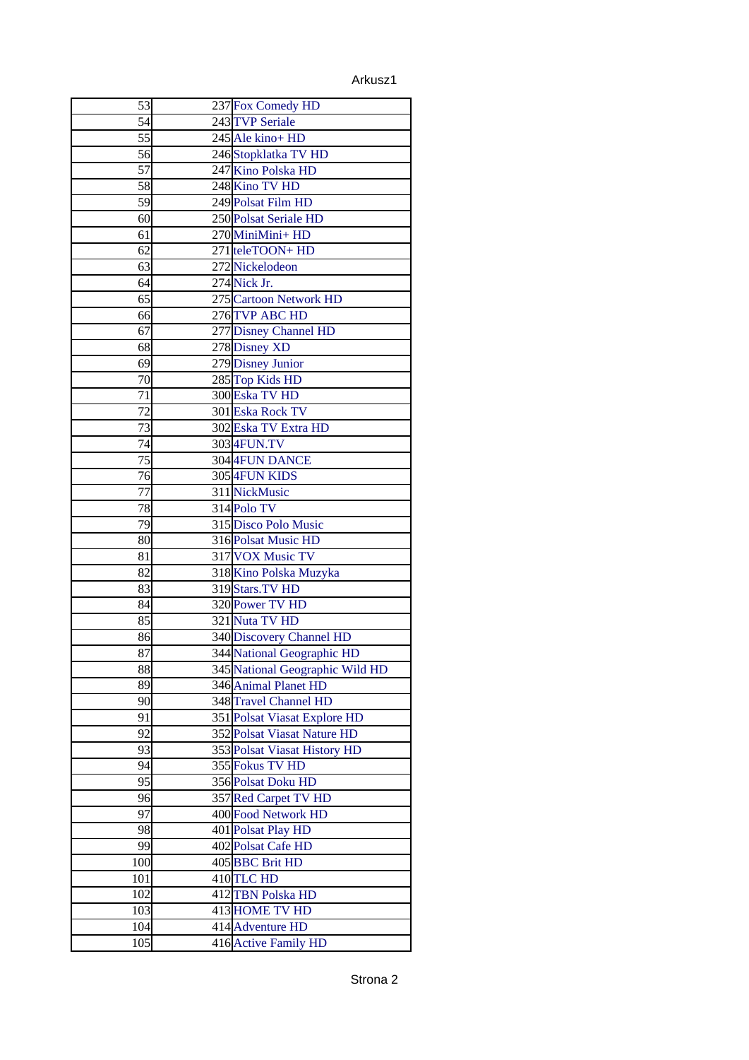| 53  |                                 |
|-----|---------------------------------|
|     | 237 Fox Comedy HD               |
| 54  | 243 TVP Seriale                 |
| 55  | 245 Ale kino+ HD                |
| 56  | 246 Stopklatka TV HD            |
| 57  | 247 Kino Polska HD              |
| 58  | 248 Kino TV HD                  |
| 59  | 249 Polsat Film HD              |
| 60  | 250 Polsat Seriale HD           |
| 61  | 270 MiniMini+ HD                |
| 62  | 271 teleTOON+ HD                |
| 63  | 272 Nickelodeon                 |
| 64  | 274 Nick Jr.                    |
| 65  | 275 Cartoon Network HD          |
| 66  | 276 TVP ABC HD                  |
| 67  | 277 Disney Channel HD           |
| 68  | 278 Disney XD                   |
| 69  | 279 Disney Junior               |
| 70  | 285 Top Kids HD                 |
| 71  | 300 Eska TV HD                  |
| 72  | 301 Eska Rock TV                |
|     |                                 |
| 73  | 302 Eska TV Extra HD            |
| 74  | 303 4FUN.TV                     |
| 75  | 304 4FUN DANCE                  |
| 76  | 305 4FUN KIDS                   |
| 77  | 311 NickMusic                   |
| 78  | 314 Polo TV                     |
| 79  | 315 Disco Polo Music            |
| 80  | 316 Polsat Music HD             |
| 81  | 317 VOX Music TV                |
| 82  | 318 Kino Polska Muzyka          |
| 83  | 319 Stars. TV HD                |
| 84  | 320 Power TV HD                 |
| 85  | 321 Nuta TV HD                  |
| 86  | 340 Discovery Channel HD        |
| 87  | 344 National Geographic HD      |
| 88  | 345 National Geographic Wild HD |
| 89  | 346 Animal Planet HD            |
| 90  | 348 Travel Channel HD           |
| 91  | 351 Polsat Viasat Explore HD    |
| 92  | 352 Polsat Viasat Nature HD     |
| 93  | 353 Polsat Viasat History HD    |
|     | 355 Fokus TV HD                 |
| 94  |                                 |
| 95  | 356 Polsat Doku HD              |
| 96  | 357 Red Carpet TV HD            |
| 97  | 400 Food Network HD             |
| 98  | 401 Polsat Play HD              |
| 99  | 402 Polsat Cafe HD              |
| 100 | 405BBC Brit HD                  |
| 101 | 410 TLC HD                      |
| 102 | 412 TBN Polska HD               |
| 103 | 413 HOME TV HD                  |
| 104 | 414 Adventure HD                |
| 105 | 416 Active Family HD            |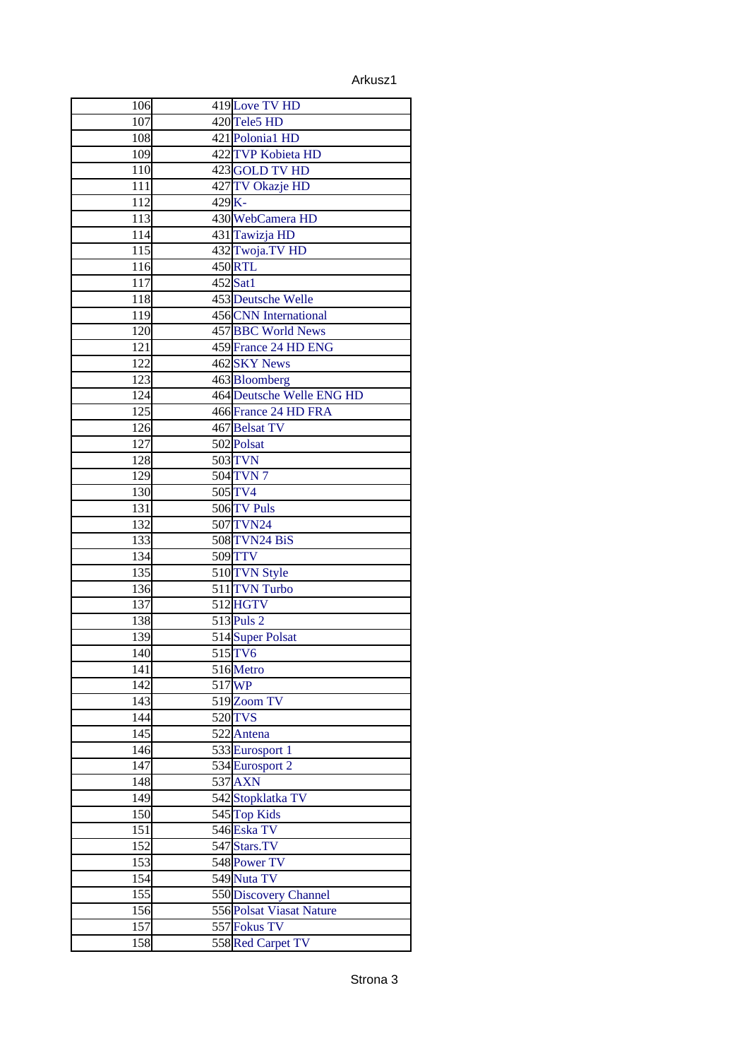| 106              |          | 419 Love TV HD            |
|------------------|----------|---------------------------|
| 107              |          | 420 Tele5 HD              |
| 108              |          | 421 Polonia1 HD           |
| 109              |          | 422 TVP Kobieta HD        |
| 110              |          | 423 GOLD TV HD            |
| 111              |          | 427 TV Okazje HD          |
| 112              | $429K -$ |                           |
| 113              |          | 430 WebCamera HD          |
| 114              |          | 431 Tawizja HD            |
| 115              |          | 432 Twoja.TV HD           |
| 116              |          | 450 RTL                   |
| 117              |          | $452$ Sat1                |
| 118              |          | <b>453 Deutsche Welle</b> |
| 119              |          | 456 CNN International     |
| 120              |          | 457 BBC World News        |
| 121              |          | 459 France 24 HD ENG      |
| 122              |          | 462 SKY News              |
| 123              |          | 463 Bloomberg             |
| 124              |          | 464 Deutsche Welle ENG HD |
| 125              |          | 466 France 24 HD FRA      |
| 126              |          | 467 Belsat TV             |
| 127              |          | 502 Polsat                |
| 128              |          | 503 TVN                   |
| $\overline{129}$ |          | 504 TVN 7                 |
| 130              |          | 505 TV4                   |
| 131              |          | 506 TV Puls               |
| 132              |          | 507TVN24                  |
| 133              |          | 508 TVN24 BiS             |
| 134              |          | 509TTV                    |
| 135              |          | 510 TVN Style             |
| 136              |          | 511 TVN Turbo             |
| 137              |          | 512 HGTV                  |
| 138              |          | 513 Puls 2                |
| 139              |          | 514 Super Polsat          |
| 140              |          | 515TV6                    |
| 141              |          | 516 Metro                 |
| 142              |          | 517 WP                    |
| 143              |          | 519 Zoom TV               |
| 144              |          | 520 TVS                   |
| 145              |          | 522 Antena                |
| 146              |          | 533 Eurosport 1           |
| 147              |          | 534 Eurosport 2           |
| 148              |          | 537 AXN                   |
| 149              |          | 542Stopklatka TV          |
| 150              |          | 545 Top Kids              |
| $\overline{151}$ |          | 546 Eska TV               |
| 152              |          | 547 Stars.TV              |
| 153              |          | 548 Power TV              |
| 154              |          | 549 Nuta TV               |
| 155              |          | 550 Discovery Channel     |
| 156              |          | 556 Polsat Viasat Nature  |
| 157              |          | 557 Fokus TV              |
| 158              |          | 558Red Carpet TV          |